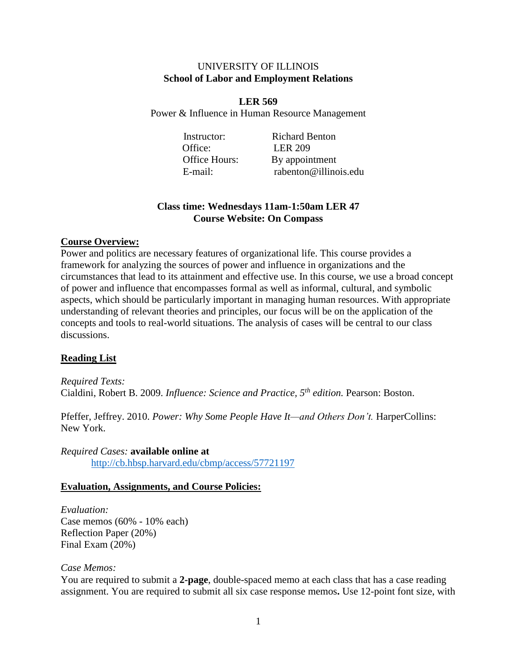## UNIVERSITY OF ILLINOIS **School of Labor and Employment Relations**

**LER 569** Power & Influence in Human Resource Management

Office: LER 209

Instructor: Richard Benton Office Hours: By appointment E-mail: rabenton@illinois.edu

# **Class time: Wednesdays 11am-1:50am LER 47 Course Website: On Compass**

## **Course Overview:**

Power and politics are necessary features of organizational life. This course provides a framework for analyzing the sources of power and influence in organizations and the circumstances that lead to its attainment and effective use. In this course, we use a broad concept of power and influence that encompasses formal as well as informal, cultural, and symbolic aspects, which should be particularly important in managing human resources. With appropriate understanding of relevant theories and principles, our focus will be on the application of the concepts and tools to real-world situations. The analysis of cases will be central to our class discussions.

# **Reading List**

*Required Texts:* Cialdini, Robert B. 2009. *Influence: Science and Practice, 5th edition.* Pearson: Boston.

Pfeffer, Jeffrey. 2010. *Power: Why Some People Have It—and Others Don't*. HarperCollins: New York.

*Required Cases:* **available online at** <http://cb.hbsp.harvard.edu/cbmp/access/57721197>

## **Evaluation, Assignments, and Course Policies:**

*Evaluation:* Case memos (60% - 10% each) Reflection Paper (20%) Final Exam (20%)

## *Case Memos:*

You are required to submit a **2-page**, double-spaced memo at each class that has a case reading assignment. You are required to submit all six case response memos**.** Use 12-point font size, with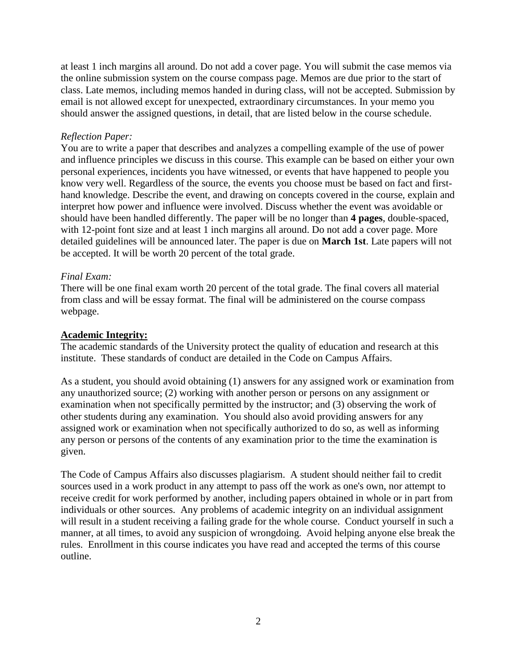at least 1 inch margins all around. Do not add a cover page. You will submit the case memos via the online submission system on the course compass page. Memos are due prior to the start of class. Late memos, including memos handed in during class, will not be accepted. Submission by email is not allowed except for unexpected, extraordinary circumstances. In your memo you should answer the assigned questions, in detail, that are listed below in the course schedule.

## *Reflection Paper:*

You are to write a paper that describes and analyzes a compelling example of the use of power and influence principles we discuss in this course. This example can be based on either your own personal experiences, incidents you have witnessed, or events that have happened to people you know very well. Regardless of the source, the events you choose must be based on fact and firsthand knowledge. Describe the event, and drawing on concepts covered in the course, explain and interpret how power and influence were involved. Discuss whether the event was avoidable or should have been handled differently. The paper will be no longer than **4 pages**, double-spaced, with 12-point font size and at least 1 inch margins all around. Do not add a cover page. More detailed guidelines will be announced later. The paper is due on **March 1st**. Late papers will not be accepted. It will be worth 20 percent of the total grade.

## *Final Exam:*

There will be one final exam worth 20 percent of the total grade. The final covers all material from class and will be essay format. The final will be administered on the course compass webpage.

## **Academic Integrity:**

The academic standards of the University protect the quality of education and research at this institute. These standards of conduct are detailed in the Code on Campus Affairs.

As a student, you should avoid obtaining (1) answers for any assigned work or examination from any unauthorized source; (2) working with another person or persons on any assignment or examination when not specifically permitted by the instructor; and (3) observing the work of other students during any examination. You should also avoid providing answers for any assigned work or examination when not specifically authorized to do so, as well as informing any person or persons of the contents of any examination prior to the time the examination is given.

The Code of Campus Affairs also discusses plagiarism. A student should neither fail to credit sources used in a work product in any attempt to pass off the work as one's own, nor attempt to receive credit for work performed by another, including papers obtained in whole or in part from individuals or other sources. Any problems of academic integrity on an individual assignment will result in a student receiving a failing grade for the whole course. Conduct yourself in such a manner, at all times, to avoid any suspicion of wrongdoing. Avoid helping anyone else break the rules. Enrollment in this course indicates you have read and accepted the terms of this course outline.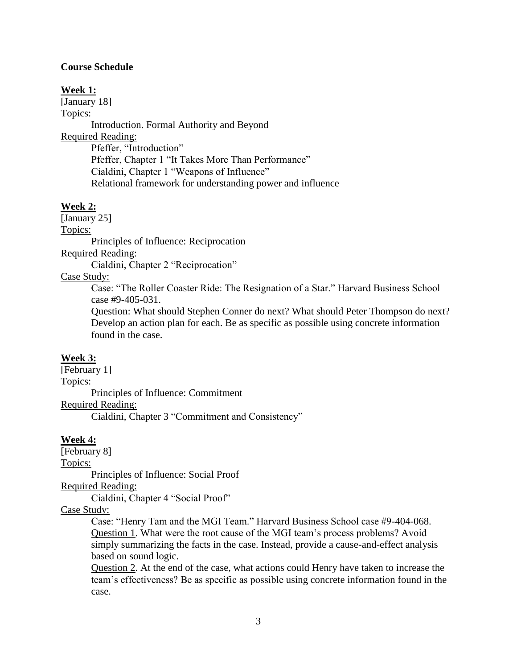#### **Course Schedule**

#### **Week 1:**

[January 18]

Topics:

Introduction. Formal Authority and Beyond

Required Reading:

Pfeffer, "Introduction" Pfeffer, Chapter 1 "It Takes More Than Performance" Cialdini, Chapter 1 "Weapons of Influence" Relational framework for understanding power and influence

#### **Week 2:**

[January 25]

Topics:

Principles of Influence: Reciprocation

Required Reading:

Cialdini, Chapter 2 "Reciprocation"

#### Case Study:

Case: "The Roller Coaster Ride: The Resignation of a Star." Harvard Business School case #9-405-031.

Question: What should Stephen Conner do next? What should Peter Thompson do next? Develop an action plan for each. Be as specific as possible using concrete information found in the case.

#### **Week 3:**

[February 1] Topics: Principles of Influence: Commitment Required Reading:

Cialdini, Chapter 3 "Commitment and Consistency"

## **Week 4:**

[February 8] Topics: Principles of Influence: Social Proof

Required Reading:

Cialdini, Chapter 4 "Social Proof"

## Case Study:

Case: "Henry Tam and the MGI Team." Harvard Business School case #9-404-068. Question 1. What were the root cause of the MGI team's process problems? Avoid simply summarizing the facts in the case. Instead, provide a cause-and-effect analysis based on sound logic.

Question 2. At the end of the case, what actions could Henry have taken to increase the team's effectiveness? Be as specific as possible using concrete information found in the case.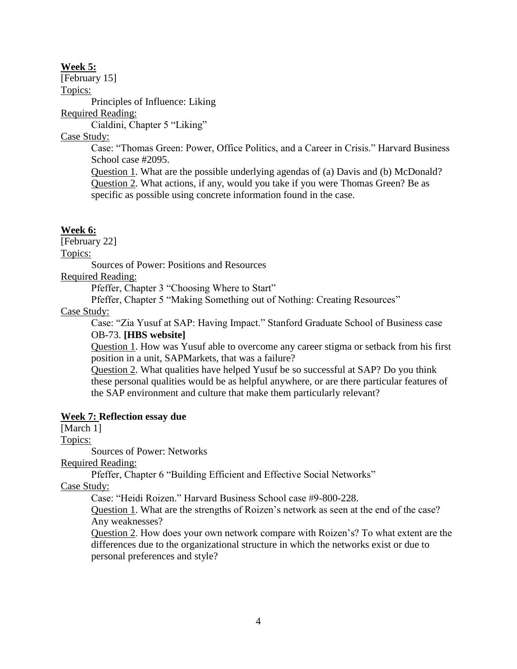### **Week 5:**

[February 15]

Topics:

Principles of Influence: Liking

Required Reading:

Cialdini, Chapter 5 "Liking"

Case Study:

Case: "Thomas Green: Power, Office Politics, and a Career in Crisis." Harvard Business School case #2095.

Question 1. What are the possible underlying agendas of (a) Davis and (b) McDonald? Question 2. What actions, if any, would you take if you were Thomas Green? Be as specific as possible using concrete information found in the case.

## **Week 6:**

[February 22]

Topics:

Sources of Power: Positions and Resources

Required Reading:

Pfeffer, Chapter 3 "Choosing Where to Start"

Pfeffer, Chapter 5 "Making Something out of Nothing: Creating Resources"

## Case Study:

Case: "Zia Yusuf at SAP: Having Impact." Stanford Graduate School of Business case OB-73. **[HBS website]**

Question 1. How was Yusuf able to overcome any career stigma or setback from his first position in a unit, SAPMarkets, that was a failure?

Question 2. What qualities have helped Yusuf be so successful at SAP? Do you think these personal qualities would be as helpful anywhere, or are there particular features of the SAP environment and culture that make them particularly relevant?

# **Week 7: Reflection essay due**

[March 1]

Topics:

Sources of Power: Networks

Required Reading:

Pfeffer, Chapter 6 "Building Efficient and Effective Social Networks"

Case Study:

Case: "Heidi Roizen." Harvard Business School case #9-800-228.

Question 1. What are the strengths of Roizen's network as seen at the end of the case? Any weaknesses?

Question 2. How does your own network compare with Roizen's? To what extent are the differences due to the organizational structure in which the networks exist or due to personal preferences and style?